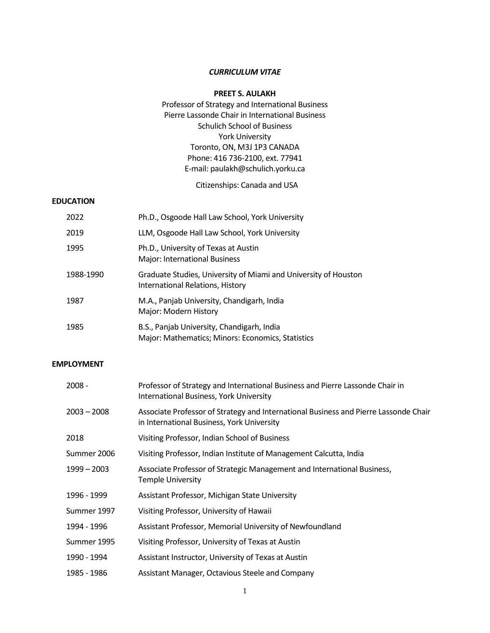# *CURRICULUM VITAE*

# **PREET S. AULAKH**

# Professor of Strategy and International Business Pierre Lassonde Chair in International Business Schulich School of Business York University Toronto, ON, M3J 1P3 CANADA Phone: 416 736-2100, ext. 77941 E-mail: paulakh@schulich.yorku.ca

Citizenships: Canada and USA

# **EDUCATION**

| 2022      | Ph.D., Osgoode Hall Law School, York University                                                     |
|-----------|-----------------------------------------------------------------------------------------------------|
| 2019      | LLM, Osgoode Hall Law School, York University                                                       |
| 1995      | Ph.D., University of Texas at Austin<br><b>Major: International Business</b>                        |
| 1988-1990 | Graduate Studies, University of Miami and University of Houston<br>International Relations, History |
| 1987      | M.A., Panjab University, Chandigarh, India<br>Major: Modern History                                 |
| 1985      | B.S., Panjab University, Chandigarh, India<br>Major: Mathematics; Minors: Economics, Statistics     |

### **EMPLOYMENT**

| 2008 -      | Professor of Strategy and International Business and Pierre Lassonde Chair in<br>International Business, York University           |
|-------------|------------------------------------------------------------------------------------------------------------------------------------|
| 2003 - 2008 | Associate Professor of Strategy and International Business and Pierre Lassonde Chair<br>in International Business, York University |
| 2018        | Visiting Professor, Indian School of Business                                                                                      |
| Summer 2006 | Visiting Professor, Indian Institute of Management Calcutta, India                                                                 |
| 1999 - 2003 | Associate Professor of Strategic Management and International Business,<br><b>Temple University</b>                                |
| 1996 - 1999 | Assistant Professor, Michigan State University                                                                                     |
| Summer 1997 | Visiting Professor, University of Hawaii                                                                                           |
| 1994 - 1996 | Assistant Professor, Memorial University of Newfoundland                                                                           |
| Summer 1995 | Visiting Professor, University of Texas at Austin                                                                                  |
| 1990 - 1994 | Assistant Instructor, University of Texas at Austin                                                                                |
| 1985 - 1986 | Assistant Manager, Octavious Steele and Company                                                                                    |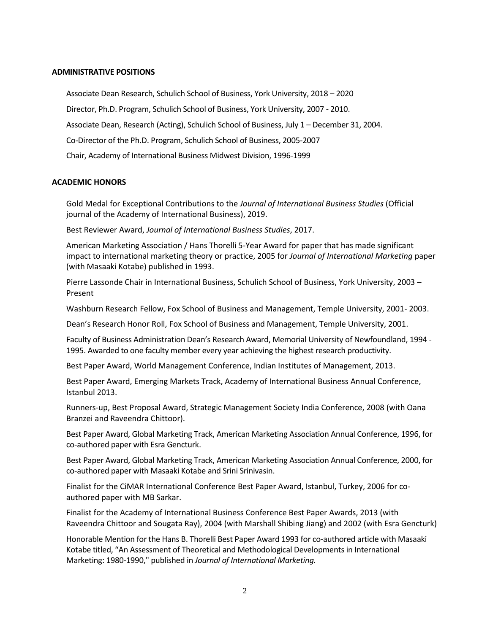### **ADMINISTRATIVE POSITIONS**

Associate Dean Research, Schulich School of Business, York University, 2018 – 2020 Director, Ph.D. Program, Schulich School of Business, York University, 2007 - 2010. Associate Dean, Research (Acting), Schulich School of Business, July 1 – December 31, 2004. Co-Director of the Ph.D. Program, Schulich School of Business, 2005-2007 Chair, Academy of International Business Midwest Division, 1996-1999

### **ACADEMIC HONORS**

Gold Medal for Exceptional Contributions to the *Journal of International Business Studies* (Official journal of the Academy of International Business), 2019.

Best Reviewer Award, *Journal of International Business Studies*, 2017.

American Marketing Association / Hans Thorelli 5-Year Award for paper that has made significant impact to international marketing theory or practice, 2005 for *Journal of International Marketing* paper (with Masaaki Kotabe) published in 1993.

Pierre Lassonde Chair in International Business, Schulich School of Business, York University, 2003 – Present

Washburn Research Fellow, Fox School of Business and Management, Temple University, 2001- 2003.

Dean's Research Honor Roll, Fox School of Business and Management, Temple University, 2001.

Faculty of Business Administration Dean's Research Award, Memorial University of Newfoundland, 1994 - 1995. Awarded to one faculty member every year achieving the highest research productivity.

Best Paper Award, World Management Conference, Indian Institutes of Management, 2013.

Best Paper Award, Emerging Markets Track, Academy of International Business Annual Conference, Istanbul 2013.

Runners-up, Best Proposal Award, Strategic Management Society India Conference, 2008 (with Oana Branzei and Raveendra Chittoor).

Best Paper Award, Global Marketing Track, American Marketing Association Annual Conference, 1996, for co-authored paper with Esra Gencturk.

Best Paper Award, Global Marketing Track, American Marketing Association Annual Conference, 2000, for co-authored paper with Masaaki Kotabe and Srini Srinivasin.

Finalist for the CiMAR International Conference Best Paper Award, Istanbul, Turkey, 2006 for coauthored paper with MB Sarkar.

Finalist for the Academy of International Business Conference Best Paper Awards, 2013 (with Raveendra Chittoor and Sougata Ray), 2004 (with Marshall Shibing Jiang) and 2002 (with Esra Gencturk)

Honorable Mention for the Hans B. Thorelli Best Paper Award 1993 for co-authored article with Masaaki Kotabe titled, "An Assessment of Theoretical and Methodological Developments in International Marketing: 1980-1990," published in *Journal of International Marketing.*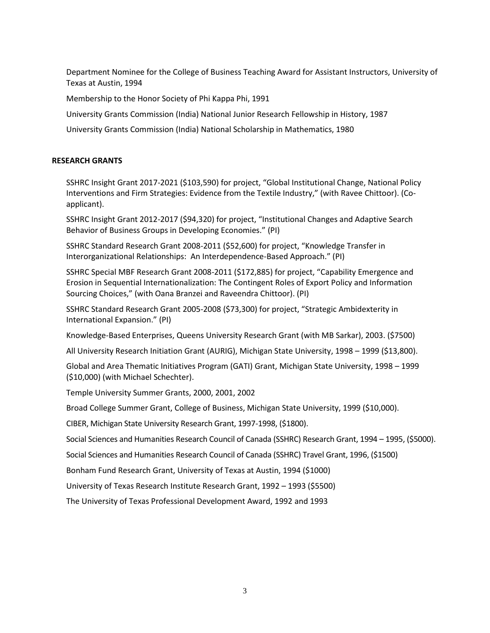Department Nominee for the College of Business Teaching Award for Assistant Instructors, University of Texas at Austin, 1994

Membership to the Honor Society of Phi Kappa Phi, 1991

University Grants Commission (India) National Junior Research Fellowship in History, 1987

University Grants Commission (India) National Scholarship in Mathematics, 1980

# **RESEARCH GRANTS**

SSHRC Insight Grant 2017-2021 (\$103,590) for project, "Global Institutional Change, National Policy Interventions and Firm Strategies: Evidence from the Textile Industry," (with Ravee Chittoor). (Coapplicant).

SSHRC Insight Grant 2012-2017 (\$94,320) for project, "Institutional Changes and Adaptive Search Behavior of Business Groups in Developing Economies." (PI)

SSHRC Standard Research Grant 2008-2011 (\$52,600) for project, "Knowledge Transfer in Interorganizational Relationships: An Interdependence-Based Approach." (PI)

SSHRC Special MBF Research Grant 2008-2011 (\$172,885) for project, "Capability Emergence and Erosion in Sequential Internationalization: The Contingent Roles of Export Policy and Information Sourcing Choices," (with Oana Branzei and Raveendra Chittoor). (PI)

SSHRC Standard Research Grant 2005-2008 (\$73,300) for project, "Strategic Ambidexterity in International Expansion." (PI)

Knowledge-Based Enterprises, Queens University Research Grant (with MB Sarkar), 2003. (\$7500)

All University Research Initiation Grant (AURIG), Michigan State University, 1998 – 1999 (\$13,800).

Global and Area Thematic Initiatives Program (GATI) Grant, Michigan State University, 1998 – 1999 (\$10,000) (with Michael Schechter).

Temple University Summer Grants, 2000, 2001, 2002

Broad College Summer Grant, College of Business, Michigan State University, 1999 (\$10,000).

CIBER, Michigan State University Research Grant, 1997-1998, (\$1800).

Social Sciences and Humanities Research Council of Canada (SSHRC) Research Grant, 1994 – 1995, (\$5000).

Social Sciences and Humanities Research Council of Canada (SSHRC) Travel Grant, 1996, (\$1500)

Bonham Fund Research Grant, University of Texas at Austin, 1994 (\$1000)

University of Texas Research Institute Research Grant, 1992 – 1993 (\$5500)

The University of Texas Professional Development Award, 1992 and 1993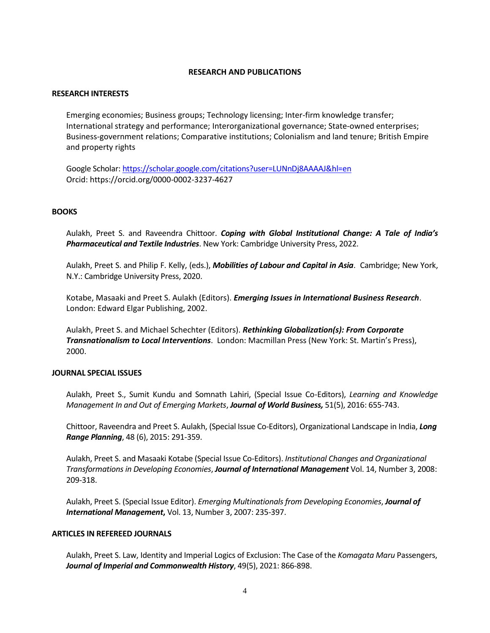## **RESEARCH AND PUBLICATIONS**

## **RESEARCH INTERESTS**

Emerging economies; Business groups; Technology licensing; Inter-firm knowledge transfer; International strategy and performance; Interorganizational governance; State-owned enterprises; Business-government relations; Comparative institutions; Colonialism and land tenure; British Empire and property rights

Google Scholar:<https://scholar.google.com/citations?user=LUNnDj8AAAAJ&hl=en> Orcid: https://orcid.org/0000-0002-3237-4627

# **BOOKS**

Aulakh, Preet S. and Raveendra Chittoor. *Coping with Global Institutional Change: A Tale of India's Pharmaceutical and Textile Industries*. New York: Cambridge University Press, 2022.

Aulakh, Preet S. and Philip F. Kelly, (eds.), *Mobilities of Labour and Capital in Asia*. Cambridge; New York, N.Y.: Cambridge University Press, 2020.

Kotabe, Masaaki and Preet S. Aulakh (Editors). *Emerging Issues in International Business Research*. London: Edward Elgar Publishing, 2002.

Aulakh, Preet S. and Michael Schechter (Editors). *Rethinking Globalization(s): From Corporate Transnationalism to Local Interventions*. London: Macmillan Press (New York: St. Martin's Press), 2000.

### **JOURNAL SPECIAL ISSUES**

Aulakh, Preet S., Sumit Kundu and Somnath Lahiri, (Special Issue Co-Editors), *Learning and Knowledge Management In and Out of Emerging Markets*, *Journal of World Business,* 51(5), 2016: 655-743.

Chittoor, Raveendra and Preet S. Aulakh, (Special Issue Co-Editors), Organizational Landscape in India, *Long Range Planning*, 48 (6), 2015: 291-359.

Aulakh, Preet S. and Masaaki Kotabe (Special Issue Co-Editors). *Institutional Changes and Organizational Transformations in Developing Economies*, *Journal of International Management* Vol. 14, Number 3, 2008: 209-318.

Aulakh, Preet S. (Special Issue Editor). *Emerging Multinationals from Developing Economies*, *Journal of International Management***,** Vol. 13, Number 3, 2007: 235-397.

### **ARTICLES IN REFEREED JOURNALS**

Aulakh, Preet S. Law, Identity and Imperial Logics of Exclusion: The Case of the *Komagata Maru* Passengers, *Journal of Imperial and Commonwealth History*, 49(5), 2021: 866-898.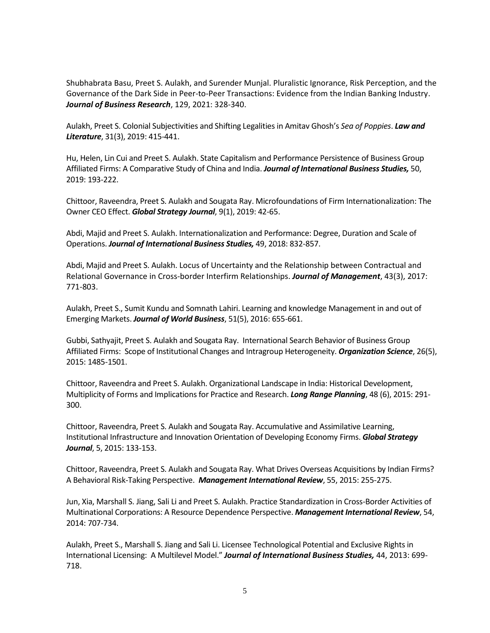Shubhabrata Basu, Preet S. Aulakh, and Surender Munjal. Pluralistic Ignorance, Risk Perception, and the Governance of the Dark Side in Peer-to-Peer Transactions: Evidence from the Indian Banking Industry. *Journal of Business Research*, 129, 2021: 328-340.

Aulakh, Preet S. Colonial Subjectivities and Shifting Legalities in Amitav Ghosh's *Sea of Poppies*. *Law and Literature*, 31(3), 2019: 415-441.

Hu, Helen, Lin Cui and Preet S. Aulakh. State Capitalism and Performance Persistence of Business Group Affiliated Firms: A Comparative Study of China and India. *Journal of International Business Studies,* 50, 2019: 193-222.

Chittoor, Raveendra, Preet S. Aulakh and Sougata Ray. Microfoundations of Firm Internationalization: The Owner CEO Effect. *Global Strategy Journal*, 9(1), 2019: 42-65.

Abdi, Majid and Preet S. Aulakh. Internationalization and Performance: Degree, Duration and Scale of Operations. *Journal of International Business Studies,* 49, 2018: 832-857.

Abdi, Majid and Preet S. Aulakh. Locus of Uncertainty and the Relationship between Contractual and Relational Governance in Cross-border Interfirm Relationships. *Journal of Management*, 43(3), 2017: 771-803.

Aulakh, Preet S., Sumit Kundu and Somnath Lahiri. Learning and knowledge Management in and out of Emerging Markets. *Journal of World Business*, 51(5), 2016: 655-661.

Gubbi, Sathyajit, Preet S. Aulakh and Sougata Ray. International Search Behavior of Business Group Affiliated Firms: Scope of Institutional Changes and Intragroup Heterogeneity. *Organization Science*, 26(5), 2015: 1485-1501.

Chittoor, Raveendra and Preet S. Aulakh. Organizational Landscape in India: Historical Development, Multiplicity of Forms and Implications for Practice and Research. *Long Range Planning*, 48 (6), 2015: 291- 300.

Chittoor, Raveendra, Preet S. Aulakh and Sougata Ray. Accumulative and Assimilative Learning, Institutional Infrastructure and Innovation Orientation of Developing Economy Firms. *Global Strategy Journal*, 5, 2015: 133-153.

Chittoor, Raveendra, Preet S. Aulakh and Sougata Ray. What Drives Overseas Acquisitions by Indian Firms? A Behavioral Risk-Taking Perspective. *Management International Review*, 55, 2015: 255-275.

Jun, Xia, Marshall S. Jiang, Sali Li and Preet S. Aulakh. Practice Standardization in Cross-Border Activities of Multinational Corporations: A Resource Dependence Perspective. *Management International Review*, 54, 2014: 707-734.

Aulakh, Preet S., Marshall S. Jiang and Sali Li. Licensee Technological Potential and Exclusive Rights in International Licensing: A Multilevel Model." *Journal of International Business Studies,* 44, 2013: 699- 718.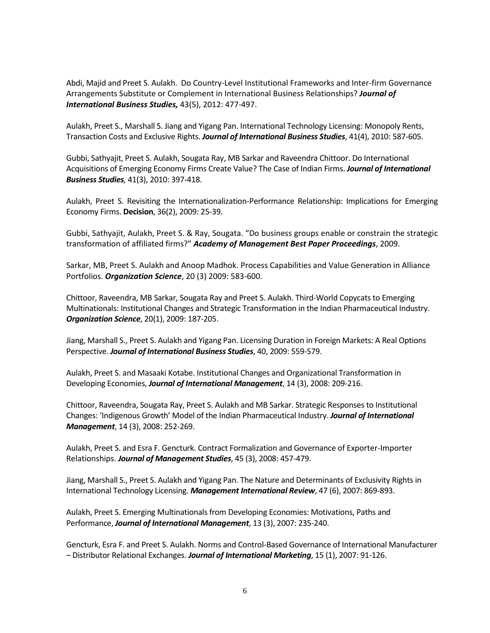Abdi, Majid and Preet S. Aulakh. Do Country-Level Institutional Frameworks and Inter-firm Governance Arrangements Substitute or Complement in International Business Relationships? *Journal of International Business Studies,* 43(5), 2012: 477-497.

Aulakh, Preet S., Marshall S. Jiang and Yigang Pan. International Technology Licensing: Monopoly Rents, Transaction Costs and Exclusive Rights. *Journal of International Business Studies*, 41(4), 2010: 587-605.

Gubbi, Sathyajit, Preet S. Aulakh, Sougata Ray, MB Sarkar and Raveendra Chittoor. Do International Acquisitions of Emerging Economy Firms Create Value? The Case of Indian Firms. *Journal of International Business Studies,* 41(3), 2010: 397-418.

Aulakh, Preet S. Revisiting the Internationalization-Performance Relationship: Implications for Emerging Economy Firms. **Decision**, 36(2), 2009: 25-39.

Gubbi, Sathyajit, Aulakh, Preet S. & Ray, Sougata. "Do business groups enable or constrain the strategic transformation of affiliated firms?" *Academy of Management Best Paper Proceedings*, 2009.

Sarkar, MB, Preet S. Aulakh and Anoop Madhok. Process Capabilities and Value Generation in Alliance Portfolios. *Organization Science*, 20 (3) 2009: 583-600.

Chittoor, Raveendra, MB Sarkar, Sougata Ray and Preet S. Aulakh. Third-World Copycats to Emerging Multinationals: Institutional Changes and Strategic Transformation in the Indian Pharmaceutical Industry. *Organization Science*, 20(1), 2009: 187-205.

Jiang, Marshall S., Preet S. Aulakh and Yigang Pan. Licensing Duration in Foreign Markets: A Real Options Perspective. *Journal of International Business Studies*, 40, 2009: 559-579.

Aulakh, Preet S. and Masaaki Kotabe. Institutional Changes and Organizational Transformation in Developing Economies, *Journal of International Management*, 14 (3), 2008: 209-216.

Chittoor, Raveendra, Sougata Ray, Preet S. Aulakh and MB Sarkar. Strategic Responses to Institutional Changes: 'Indigenous Growth' Model of the Indian Pharmaceutical Industry. *Journal of International Management*, 14 (3), 2008: 252-269.

Aulakh, Preet S. and Esra F. Gencturk. Contract Formalization and Governance of Exporter-Importer Relationships. *Journal of Management Studies*, 45 (3), 2008: 457-479.

Jiang, Marshall S., Preet S. Aulakh and Yigang Pan. The Nature and Determinants of Exclusivity Rights in International Technology Licensing. *Management International Review*, 47 (6), 2007: 869-893.

Aulakh, Preet S. Emerging Multinationals from Developing Economies: Motivations, Paths and Performance, *Journal of International Management*, 13 (3), 2007: 235-240.

Gencturk, Esra F. and Preet S. Aulakh. Norms and Control-Based Governance of International Manufacturer – Distributor Relational Exchanges. *Journal of International Marketing*, 15 (1), 2007: 91-126.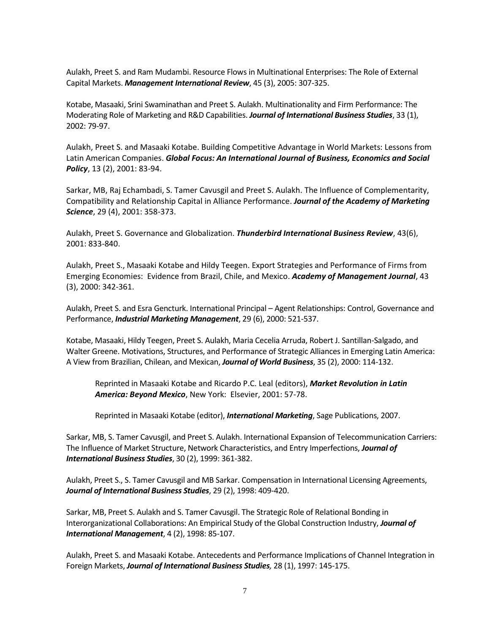Aulakh, Preet S. and Ram Mudambi. Resource Flows in Multinational Enterprises: The Role of External Capital Markets. *Management International Review*, 45 (3), 2005: 307-325.

Kotabe, Masaaki, Srini Swaminathan and Preet S. Aulakh. Multinationality and Firm Performance: The Moderating Role of Marketing and R&D Capabilities. *Journal of International Business Studies*, 33 (1), 2002: 79-97.

Aulakh, Preet S. and Masaaki Kotabe. Building Competitive Advantage in World Markets: Lessons from Latin American Companies. *Global Focus: An International Journal of Business, Economics and Social Policy*, 13 (2), 2001: 83-94.

Sarkar, MB, Raj Echambadi, S. Tamer Cavusgil and Preet S. Aulakh. The Influence of Complementarity, Compatibility and Relationship Capital in Alliance Performance. *Journal of the Academy of Marketing Science*, 29 (4), 2001: 358-373.

Aulakh, Preet S. Governance and Globalization. *Thunderbird International Business Review*, 43(6), 2001: 833-840.

Aulakh, Preet S., Masaaki Kotabe and Hildy Teegen. Export Strategies and Performance of Firms from Emerging Economies: Evidence from Brazil, Chile, and Mexico. *Academy of Management Journal*, 43 (3), 2000: 342-361.

Aulakh, Preet S. and Esra Gencturk. International Principal – Agent Relationships: Control, Governance and Performance, *Industrial Marketing Management*, 29 (6), 2000: 521-537.

Kotabe, Masaaki, Hildy Teegen, Preet S. Aulakh, Maria Cecelia Arruda, Robert J. Santillan-Salgado, and Walter Greene. Motivations, Structures, and Performance of Strategic Alliances in Emerging Latin America: A View from Brazilian, Chilean, and Mexican, *Journal of World Business*, 35 (2), 2000: 114-132.

Reprinted in Masaaki Kotabe and Ricardo P.C. Leal (editors), *Market Revolution in Latin America: Beyond Mexico*, New York: Elsevier, 2001: 57-78.

Reprinted in Masaaki Kotabe (editor), *International Marketing*, Sage Publications, 2007.

Sarkar, MB, S. Tamer Cavusgil, and Preet S. Aulakh. International Expansion of Telecommunication Carriers: The Influence of Market Structure, Network Characteristics, and Entry Imperfections, *Journal of International Business Studies*, 30 (2), 1999: 361-382.

Aulakh, Preet S., S. Tamer Cavusgil and MB Sarkar. Compensation in International Licensing Agreements, *Journal of International Business Studies*, 29 (2), 1998: 409-420.

Sarkar, MB, Preet S. Aulakh and S. Tamer Cavusgil. The Strategic Role of Relational Bonding in Interorganizational Collaborations: An Empirical Study of the Global Construction Industry, *Journal of International Management*, 4 (2), 1998: 85-107.

Aulakh, Preet S. and Masaaki Kotabe. Antecedents and Performance Implications of Channel Integration in Foreign Markets, *Journal of International Business Studies,* 28 (1), 1997: 145-175.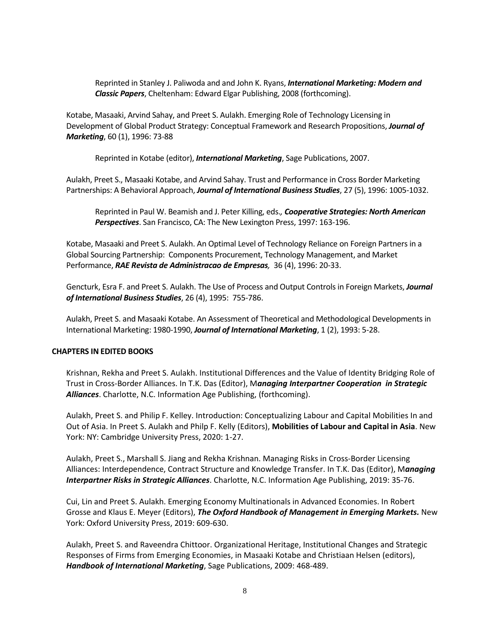Reprinted in Stanley J. Paliwoda and and John K. Ryans, *International Marketing: Modern and Classic Papers*, Cheltenham: Edward Elgar Publishing, 2008 (forthcoming).

Kotabe, Masaaki, Arvind Sahay, and Preet S. Aulakh. Emerging Role of Technology Licensing in Development of Global Product Strategy: Conceptual Framework and Research Propositions, *Journal of Marketing*, 60 (1), 1996: 73-88

Reprinted in Kotabe (editor), *International Marketing*, Sage Publications, 2007.

Aulakh, Preet S., Masaaki Kotabe, and Arvind Sahay. Trust and Performance in Cross Border Marketing Partnerships: A Behavioral Approach, *Journal of International Business Studies*, 27 (5), 1996: 1005-1032.

Reprinted in Paul W. Beamish and J. Peter Killing, eds.*, Cooperative Strategies: North American Perspectives*. San Francisco, CA: The New Lexington Press, 1997: 163-196.

Kotabe, Masaaki and Preet S. Aulakh. An Optimal Level of Technology Reliance on Foreign Partners in a Global Sourcing Partnership: Components Procurement, Technology Management, and Market Performance, *RAE Revista de Administracao de Empresas,* 36 (4), 1996: 20-33.

Gencturk, Esra F. and Preet S. Aulakh. The Use of Process and Output Controls in Foreign Markets, *Journal of International Business Studies*, 26 (4), 1995: 755-786.

Aulakh, Preet S. and Masaaki Kotabe. An Assessment of Theoretical and Methodological Developments in International Marketing: 1980-1990, *Journal of International Marketing*, 1 (2), 1993: 5-28.

# **CHAPTERS IN EDITED BOOKS**

Krishnan, Rekha and Preet S. Aulakh. Institutional Differences and the Value of Identity Bridging Role of Trust in Cross-Border Alliances. In T.K. Das (Editor), M*anaging Interpartner Cooperation in Strategic Alliances*. Charlotte, N.C. Information Age Publishing, (forthcoming).

Aulakh, Preet S. and Philip F. Kelley. Introduction: Conceptualizing Labour and Capital Mobilities In and Out of Asia. In Preet S. Aulakh and Philp F. Kelly (Editors), **Mobilities of Labour and Capital in Asia**. New York: NY: Cambridge University Press, 2020: 1-27.

Aulakh, Preet S., Marshall S. Jiang and Rekha Krishnan. Managing Risks in Cross-Border Licensing Alliances: Interdependence, Contract Structure and Knowledge Transfer. In T.K. Das (Editor), M*anaging Interpartner Risks in Strategic Alliances*. Charlotte, N.C. Information Age Publishing, 2019: 35-76.

Cui, Lin and Preet S. Aulakh. Emerging Economy Multinationals in Advanced Economies. In Robert Grosse and Klaus E. Meyer (Editors), *The Oxford Handbook of Management in Emerging Markets.* New York: Oxford University Press, 2019: 609-630.

Aulakh, Preet S. and Raveendra Chittoor. Organizational Heritage, Institutional Changes and Strategic Responses of Firms from Emerging Economies, in Masaaki Kotabe and Christiaan Helsen (editors), *Handbook of International Marketing*, Sage Publications, 2009: 468-489.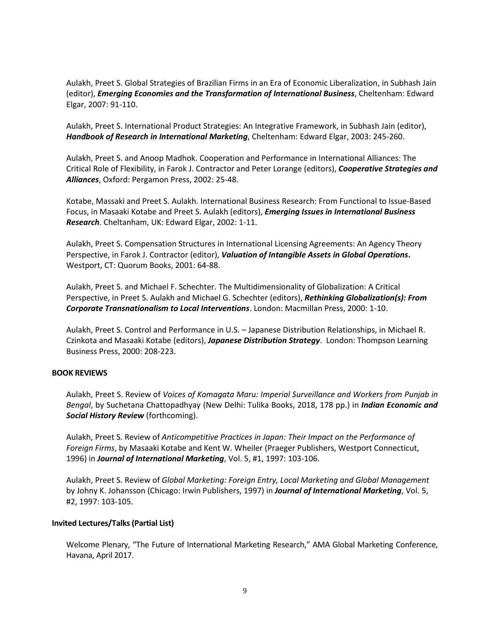Aulakh, Preet S. Global Strategies of Brazilian Firms in an Era of Economic Liberalization, in Subhash Jain (editor), *Emerging Economies and the Transformation of International Business*, Cheltenham: Edward Elgar, 2007: 91-110.

Aulakh, Preet S. International Product Strategies: An Integrative Framework, in Subhash Jain (editor), *Handbook of Research in International Marketing*, Cheltenham: Edward Elgar, 2003: 245-260.

Aulakh, Preet S. and Anoop Madhok. Cooperation and Performance in International Alliances: The Critical Role of Flexibility, in Farok J. Contractor and Peter Lorange (editors), *Cooperative Strategies and Alliances*, Oxford: Pergamon Press, 2002: 25-48.

Kotabe, Massaki and Preet S. Aulakh. International Business Research: From Functional to Issue-Based Focus, in Masaaki Kotabe and Preet S. Aulakh (editors), *Emerging Issues in International Business Research*. Cheltanham, UK: Edward Elgar, 2002: 1-11.

Aulakh, Preet S. Compensation Structures in International Licensing Agreements: An Agency Theory Perspective, in Farok J. Contractor (editor), *Valuation of Intangible Assets in Global Operations***.**  Westport, CT: Quorum Books, 2001: 64-88.

Aulakh, Preet S. and Michael F. Schechter. The Multidimensionality of Globalization: A Critical Perspective, in Preet S. Aulakh and Michael G. Schechter (editors), *Rethinking Globalization(s): From Corporate Transnationalism to Local Interventions*. London: Macmillan Press, 2000: 1-10.

Aulakh, Preet S. Control and Performance in U.S. – Japanese Distribution Relationships, in Michael R. Czinkota and Masaaki Kotabe (editors), *Japanese Distribution Strategy*. London: Thompson Learning Business Press, 2000: 208-223.

### **BOOK REVIEWS**

Aulakh, Preet S. Review of *Voices of Komagata Maru: Imperial Surveillance and Workers from Punjab in Bengal*, by Suchetana Chattopadhyay (New Delhi: Tulika Books, 2018, 178 pp.) in *Indian Economic and Social History Review* (forthcoming).

Aulakh, Preet S. Review of *Anticompetitive Practices in Japan: Their Impact on the Performance of Foreign Firms*, by Masaaki Kotabe and Kent W. Wheiler (Praeger Publishers, Westport Connecticut, 1996) in *Journal of International Marketing*, Vol. 5, #1, 1997: 103-106.

Aulakh, Preet S. Review of *Global Marketing: Foreign Entry, Local Marketing and Global Management* by Johny K. Johansson (Chicago: Irwin Publishers, 1997) in *Journal of International Marketing*, Vol. 5, #2, 1997: 103-105.

### **Invited Lectures/Talks(Partial List)**

Welcome Plenary, "The Future of International Marketing Research," AMA Global Marketing Conference, Havana, April 2017.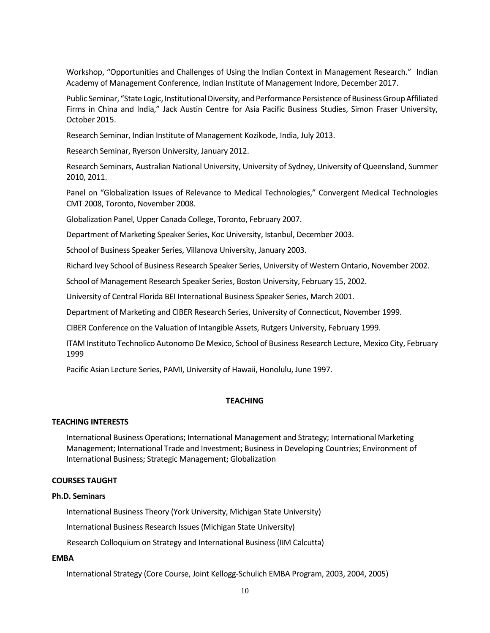Workshop, "Opportunities and Challenges of Using the Indian Context in Management Research." Indian Academy of Management Conference, Indian Institute of Management Indore, December 2017.

Public Seminar, "State Logic, Institutional Diversity, and Performance Persistence of Business Group Affiliated Firms in China and India," Jack Austin Centre for Asia Pacific Business Studies, Simon Fraser University, October 2015.

Research Seminar, Indian Institute of Management Kozikode, India, July 2013.

Research Seminar, Ryerson University, January 2012.

Research Seminars, Australian National University, University of Sydney, University of Queensland, Summer 2010, 2011.

Panel on "Globalization Issues of Relevance to Medical Technologies," Convergent Medical Technologies CMT 2008, Toronto, November 2008.

Globalization Panel, Upper Canada College, Toronto, February 2007.

Department of Marketing Speaker Series, Koc University, Istanbul, December 2003.

School of Business Speaker Series, Villanova University, January 2003.

Richard Ivey School of Business Research Speaker Series, University of Western Ontario, November 2002.

School of Management Research Speaker Series, Boston University, February 15, 2002.

University of Central Florida BEI International Business Speaker Series, March 2001.

Department of Marketing and CIBER Research Series, University of Connecticut, November 1999.

CIBER Conference on the Valuation of Intangible Assets, Rutgers University, February 1999.

ITAM Instituto Technolico Autonomo De Mexico, School of Business Research Lecture, Mexico City, February 1999

Pacific Asian Lecture Series, PAMI, University of Hawaii, Honolulu, June 1997.

# **TEACHING**

#### **TEACHING INTERESTS**

International Business Operations; International Management and Strategy; International Marketing Management; International Trade and Investment; Business in Developing Countries; Environment of International Business; Strategic Management; Globalization

### **COURSES TAUGHT**

#### **Ph.D. Seminars**

International Business Theory (York University, Michigan State University)

International Business Research Issues (Michigan State University)

Research Colloquium on Strategy and International Business (IIM Calcutta)

# **EMBA**

International Strategy (Core Course, Joint Kellogg-Schulich EMBA Program, 2003, 2004, 2005)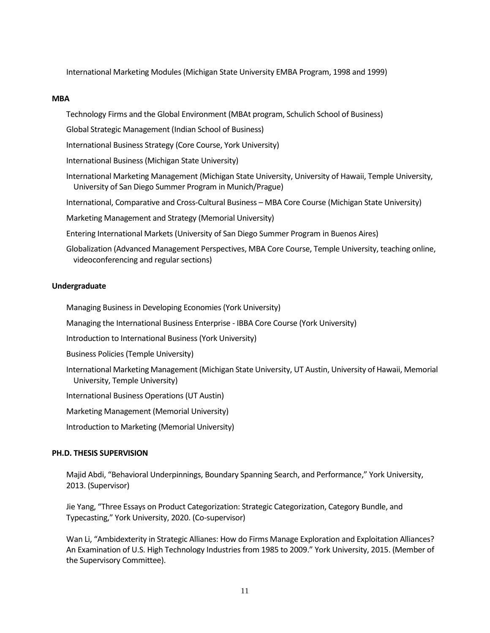International Marketing Modules (Michigan State University EMBA Program, 1998 and 1999)

# **MBA**

Technology Firms and the Global Environment (MBAt program, Schulich School of Business)

Global Strategic Management (Indian School of Business)

International Business Strategy (Core Course, York University)

International Business (Michigan State University)

International Marketing Management (Michigan State University, University of Hawaii, Temple University, University of San Diego Summer Program in Munich/Prague)

International, Comparative and Cross-Cultural Business – MBA Core Course (Michigan State University)

Marketing Management and Strategy (Memorial University)

Entering International Markets (University of San Diego Summer Program in Buenos Aires)

Globalization (Advanced Management Perspectives, MBA Core Course, Temple University, teaching online, videoconferencing and regular sections)

# **Undergraduate**

Managing Business in Developing Economies (York University)

Managing the International Business Enterprise - IBBA Core Course (York University)

Introduction to International Business (York University)

Business Policies (Temple University)

International Marketing Management (Michigan State University, UT Austin, University of Hawaii, Memorial University, Temple University)

International Business Operations (UT Austin)

Marketing Management (Memorial University)

Introduction to Marketing (Memorial University)

### **PH.D. THESIS SUPERVISION**

Majid Abdi, "Behavioral Underpinnings, Boundary Spanning Search, and Performance," York University, 2013. (Supervisor)

Jie Yang, "Three Essays on Product Categorization: Strategic Categorization, Category Bundle, and Typecasting," York University, 2020. (Co-supervisor)

Wan Li, "Ambidexterity in Strategic Allianes: How do Firms Manage Exploration and Exploitation Alliances? An Examination of U.S. High Technology Industries from 1985 to 2009." York University, 2015. (Member of the Supervisory Committee).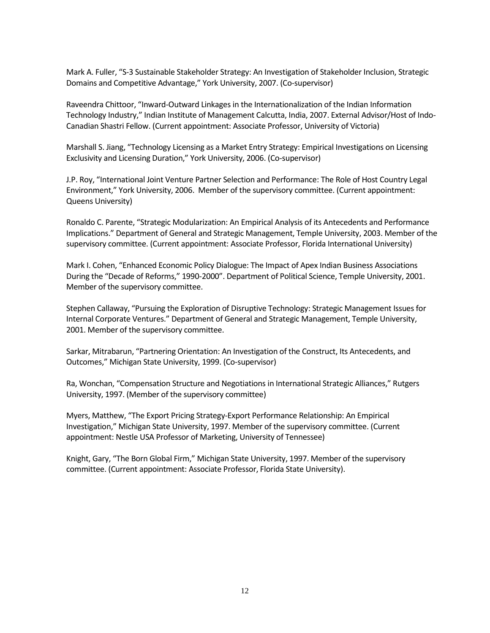Mark A. Fuller, "S-3 Sustainable Stakeholder Strategy: An Investigation of Stakeholder Inclusion, Strategic Domains and Competitive Advantage," York University, 2007. (Co-supervisor)

Raveendra Chittoor, "Inward-Outward Linkages in the Internationalization of the Indian Information Technology Industry," Indian Institute of Management Calcutta, India, 2007. External Advisor/Host of Indo-Canadian Shastri Fellow. (Current appointment: Associate Professor, University of Victoria)

Marshall S. Jiang, "Technology Licensing as a Market Entry Strategy: Empirical Investigations on Licensing Exclusivity and Licensing Duration," York University, 2006. (Co-supervisor)

J.P. Roy, "International Joint Venture Partner Selection and Performance: The Role of Host Country Legal Environment," York University, 2006. Member of the supervisory committee. (Current appointment: Queens University)

Ronaldo C. Parente, "Strategic Modularization: An Empirical Analysis of its Antecedents and Performance Implications." Department of General and Strategic Management, Temple University, 2003. Member of the supervisory committee. (Current appointment: Associate Professor, Florida International University)

Mark I. Cohen, "Enhanced Economic Policy Dialogue: The Impact of Apex Indian Business Associations During the "Decade of Reforms," 1990-2000". Department of Political Science, Temple University, 2001. Member of the supervisory committee.

Stephen Callaway, "Pursuing the Exploration of Disruptive Technology: Strategic Management Issues for Internal Corporate Ventures." Department of General and Strategic Management, Temple University, 2001. Member of the supervisory committee.

Sarkar, Mitrabarun, "Partnering Orientation: An Investigation of the Construct, Its Antecedents, and Outcomes," Michigan State University, 1999. (Co-supervisor)

Ra, Wonchan, "Compensation Structure and Negotiations in International Strategic Alliances," Rutgers University, 1997. (Member of the supervisory committee)

Myers, Matthew, "The Export Pricing Strategy-Export Performance Relationship: An Empirical Investigation," Michigan State University, 1997. Member of the supervisory committee. (Current appointment: Nestle USA Professor of Marketing, University of Tennessee)

Knight, Gary, "The Born Global Firm," Michigan State University, 1997. Member of the supervisory committee. (Current appointment: Associate Professor, Florida State University).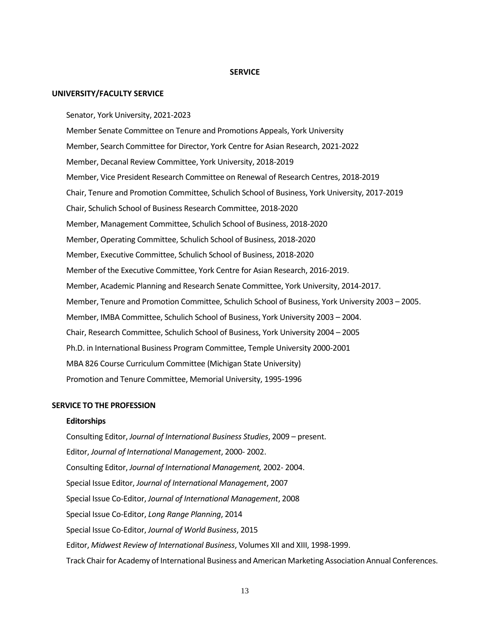#### **SERVICE**

#### **UNIVERSITY/FACULTY SERVICE**

Senator, York University, 2021-2023

Member Senate Committee on Tenure and Promotions Appeals, York University Member, Search Committee for Director, York Centre for Asian Research, 2021-2022 Member, Decanal Review Committee, York University, 2018-2019 Member, Vice President Research Committee on Renewal of Research Centres, 2018-2019 Chair, Tenure and Promotion Committee, Schulich School of Business, York University, 2017-2019 Chair, Schulich School of Business Research Committee, 2018-2020 Member, Management Committee, Schulich School of Business, 2018-2020 Member, Operating Committee, Schulich School of Business, 2018-2020 Member, Executive Committee, Schulich School of Business, 2018-2020 Member of the Executive Committee, York Centre for Asian Research, 2016-2019. Member, Academic Planning and Research Senate Committee, York University, 2014-2017. Member, Tenure and Promotion Committee, Schulich School of Business, York University 2003 – 2005. Member, IMBA Committee, Schulich School of Business, York University 2003 – 2004. Chair, Research Committee, Schulich School of Business, York University 2004 – 2005 Ph.D. in International Business Program Committee, Temple University 2000-2001 MBA 826 Course Curriculum Committee (Michigan State University) Promotion and Tenure Committee, Memorial University, 1995-1996

#### **SERVICE TO THE PROFESSION**

#### **Editorships**

Consulting Editor, *Journal of International Business Studies*, 2009 – present. Editor, *Journal of International Management*, 2000- 2002. Consulting Editor, *Journal of International Management,* 2002- 2004. Special Issue Editor, *Journal of International Management*, 2007 Special Issue Co-Editor, *Journal of International Management*, 2008 Special Issue Co-Editor, *Long Range Planning*, 2014 Special Issue Co-Editor, *Journal of World Business*, 2015 Editor, *Midwest Review of International Business*, Volumes XII and XIII, 1998-1999. Track Chair for Academy of International Business and American Marketing Association Annual Conferences.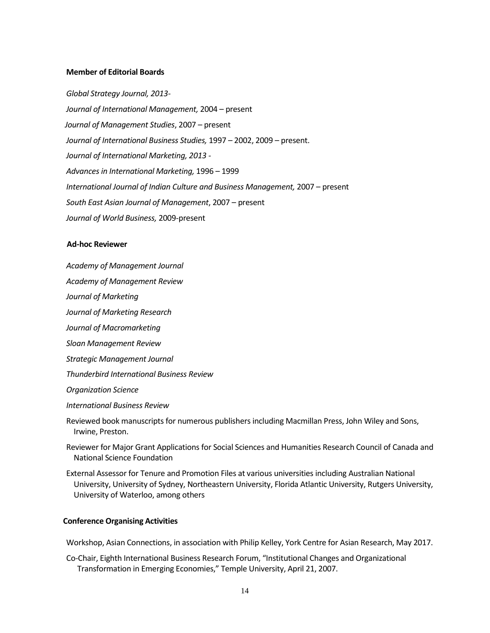#### **Member of Editorial Boards**

*Global Strategy Journal, 2013- Journal of International Management,* 2004 – present  *Journal of Management Studies*, 2007 – present *Journal of International Business Studies,* 1997 – 2002, 2009 – present. *Journal of International Marketing, 2013 - Advances in International Marketing,* 1996 – 1999 *International Journal of Indian Culture and Business Management,* 2007 – present *South East Asian Journal of Management*, 2007 – present *Journal of World Business,* 2009-present

# **Ad-hoc Reviewer**

*Academy of Management Journal*

*Academy of Management Review*

*Journal of Marketing*

*Journal of Marketing Research*

*Journal of Macromarketing*

*Sloan Management Review*

*Strategic Management Journal*

*Thunderbird International Business Review*

*Organization Science*

*International Business Review*

Reviewed book manuscripts for numerous publishers including Macmillan Press, John Wiley and Sons, Irwine, Preston.

Reviewer for Major Grant Applications for Social Sciences and Humanities Research Council of Canada and National Science Foundation

External Assessor for Tenure and Promotion Files at various universities including Australian National University, University of Sydney, Northeastern University, Florida Atlantic University, Rutgers University, University of Waterloo, among others

#### **Conference Organising Activities**

Workshop, Asian Connections, in association with Philip Kelley, York Centre for Asian Research, May 2017.

Co-Chair, Eighth International Business Research Forum, "Institutional Changes and Organizational Transformation in Emerging Economies," Temple University, April 21, 2007.